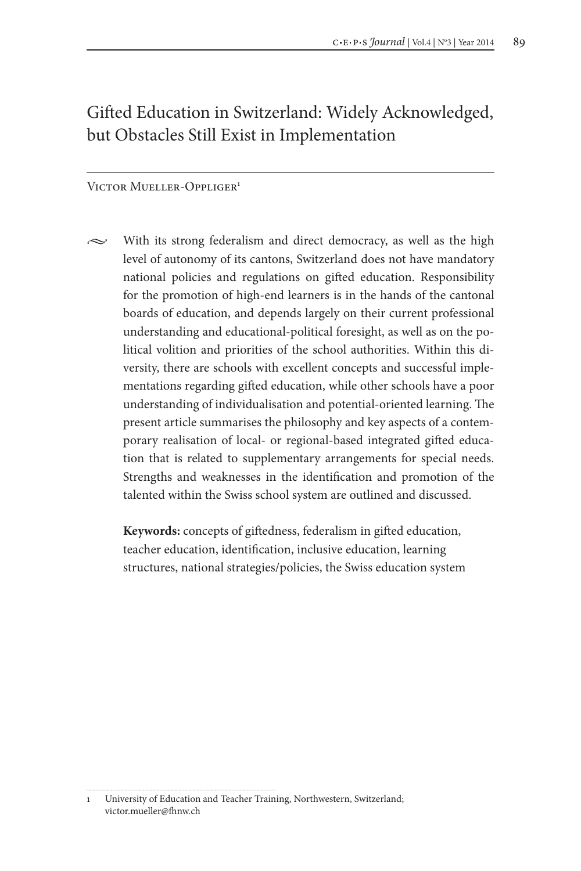# Gifted Education in Switzerland: Widely Acknowledged, but Obstacles Still Exist in Implementation

#### VICTOR MUELLER-OPPLIGER<sup>1</sup>

 $\sim$  With its strong federalism and direct democracy, as well as the high level of autonomy of its cantons, Switzerland does not have mandatory national policies and regulations on gifted education. Responsibility for the promotion of high-end learners is in the hands of the cantonal boards of education, and depends largely on their current professional understanding and educational-political foresight, as well as on the political volition and priorities of the school authorities. Within this diversity, there are schools with excellent concepts and successful implementations regarding gifted education, while other schools have a poor understanding of individualisation and potential-oriented learning. The present article summarises the philosophy and key aspects of a contemporary realisation of local- or regional-based integrated gifted education that is related to supplementary arrangements for special needs. Strengths and weaknesses in the identification and promotion of the talented within the Swiss school system are outlined and discussed.

**Keywords:** concepts of giftedness, federalism in gifted education, teacher education, identification, inclusive education, learning structures, national strategies/policies, the Swiss education system

<sup>1</sup> University of Education and Teacher Training, Northwestern, Switzerland; victor.mueller@fhnw.ch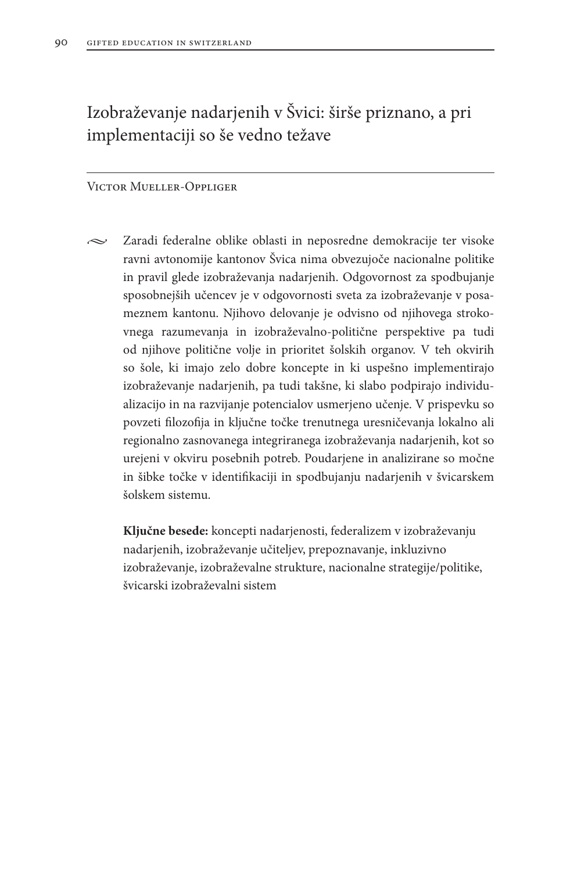# Izobraževanje nadarjenih v Švici: širše priznano, a pri implementaciji so še vedno težave

### Victor Mueller-Oppliger

 $\sim$  Zaradi federalne oblike oblasti in neposredne demokracije ter visoke ravni avtonomije kantonov Švica nima obvezujoče nacionalne politike in pravil glede izobraževanja nadarjenih. Odgovornost za spodbujanje sposobnejših učencev je v odgovornosti sveta za izobraževanje v posameznem kantonu. Njihovo delovanje je odvisno od njihovega strokovnega razumevanja in izobraževalno-politične perspektive pa tudi od njihove politične volje in prioritet šolskih organov. V teh okvirih so šole, ki imajo zelo dobre koncepte in ki uspešno implementirajo izobraževanje nadarjenih, pa tudi takšne, ki slabo podpirajo individualizacijo in na razvijanje potencialov usmerjeno učenje. V prispevku so povzeti filozofija in ključne točke trenutnega uresničevanja lokalno ali regionalno zasnovanega integriranega izobraževanja nadarjenih, kot so urejeni v okviru posebnih potreb. Poudarjene in analizirane so močne in šibke točke v identifikaciji in spodbujanju nadarjenih v švicarskem šolskem sistemu.

**Ključne besede:** koncepti nadarjenosti, federalizem v izobraževanju nadarjenih, izobraževanje učiteljev, prepoznavanje, inkluzivno izobraževanje, izobraževalne strukture, nacionalne strategije/politike, švicarski izobraževalni sistem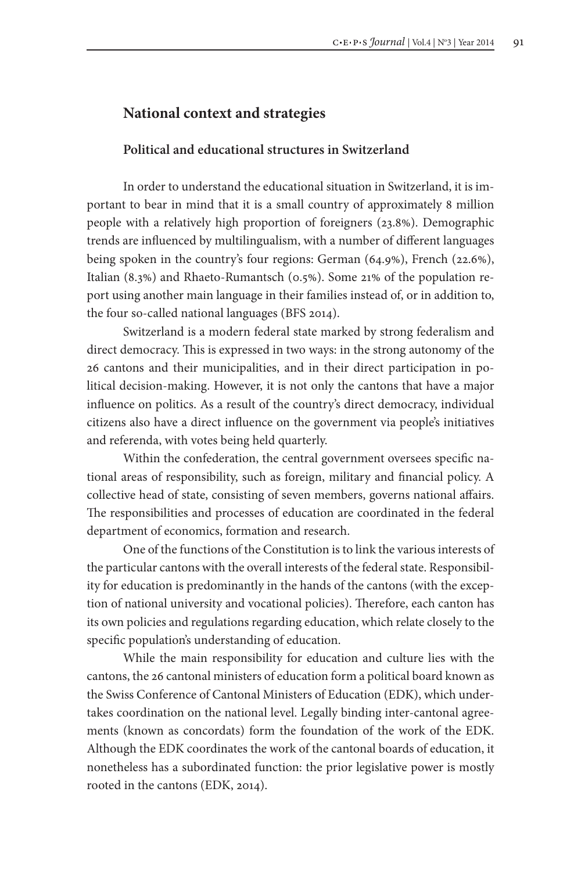## **National context and strategies**

### **Political and educational structures in Switzerland**

In order to understand the educational situation in Switzerland, it is important to bear in mind that it is a small country of approximately 8 million people with a relatively high proportion of foreigners (23.8%). Demographic trends are influenced by multilingualism, with a number of different languages being spoken in the country's four regions: German (64.9%), French (22.6%), Italian (8.3%) and Rhaeto-Rumantsch (0.5%). Some 21% of the population report using another main language in their families instead of, or in addition to, the four so-called national languages (BFS 2014).

Switzerland is a modern federal state marked by strong federalism and direct democracy. This is expressed in two ways: in the strong autonomy of the 26 cantons and their municipalities, and in their direct participation in political decision-making. However, it is not only the cantons that have a major influence on politics. As a result of the country's direct democracy, individual citizens also have a direct influence on the government via people's initiatives and referenda, with votes being held quarterly.

Within the confederation, the central government oversees specific national areas of responsibility, such as foreign, military and financial policy. A collective head of state, consisting of seven members, governs national affairs. The responsibilities and processes of education are coordinated in the federal department of economics, formation and research.

One of the functions of the Constitution is to link the various interests of the particular cantons with the overall interests of the federal state. Responsibility for education is predominantly in the hands of the cantons (with the exception of national university and vocational policies). Therefore, each canton has its own policies and regulations regarding education, which relate closely to the specific population's understanding of education.

While the main responsibility for education and culture lies with the cantons, the 26 cantonal ministers of education form a political board known as the Swiss Conference of Cantonal Ministers of Education (EDK), which undertakes coordination on the national level. Legally binding inter-cantonal agreements (known as concordats) form the foundation of the work of the EDK. Although the EDK coordinates the work of the cantonal boards of education, it nonetheless has a subordinated function: the prior legislative power is mostly rooted in the cantons (EDK, 2014).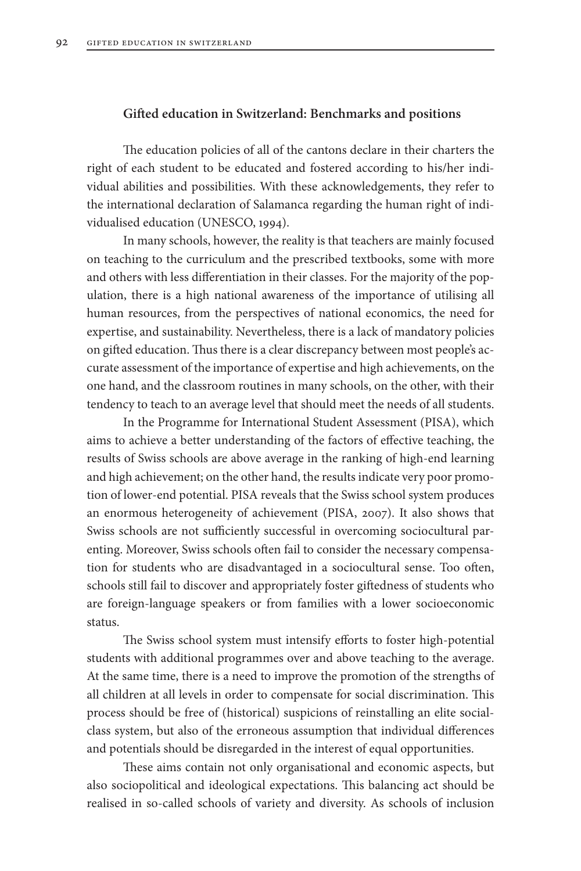### **Gifted education in Switzerland: Benchmarks and positions**

The education policies of all of the cantons declare in their charters the right of each student to be educated and fostered according to his/her individual abilities and possibilities. With these acknowledgements, they refer to the international declaration of Salamanca regarding the human right of individualised education (UNESCO, 1994).

In many schools, however, the reality is that teachers are mainly focused on teaching to the curriculum and the prescribed textbooks, some with more and others with less differentiation in their classes. For the majority of the population, there is a high national awareness of the importance of utilising all human resources, from the perspectives of national economics, the need for expertise, and sustainability. Nevertheless, there is a lack of mandatory policies on gifted education. Thus there is a clear discrepancy between most people's accurate assessment of the importance of expertise and high achievements, on the one hand, and the classroom routines in many schools, on the other, with their tendency to teach to an average level that should meet the needs of all students.

In the Programme for International Student Assessment (PISA), which aims to achieve a better understanding of the factors of effective teaching, the results of Swiss schools are above average in the ranking of high-end learning and high achievement; on the other hand, the results indicate very poor promotion of lower-end potential. PISA reveals that the Swiss school system produces an enormous heterogeneity of achievement (PISA, 2007). It also shows that Swiss schools are not sufficiently successful in overcoming sociocultural parenting. Moreover, Swiss schools often fail to consider the necessary compensation for students who are disadvantaged in a sociocultural sense. Too often, schools still fail to discover and appropriately foster giftedness of students who are foreign-language speakers or from families with a lower socioeconomic status.

The Swiss school system must intensify efforts to foster high-potential students with additional programmes over and above teaching to the average. At the same time, there is a need to improve the promotion of the strengths of all children at all levels in order to compensate for social discrimination. This process should be free of (historical) suspicions of reinstalling an elite socialclass system, but also of the erroneous assumption that individual differences and potentials should be disregarded in the interest of equal opportunities.

These aims contain not only organisational and economic aspects, but also sociopolitical and ideological expectations. This balancing act should be realised in so-called schools of variety and diversity. As schools of inclusion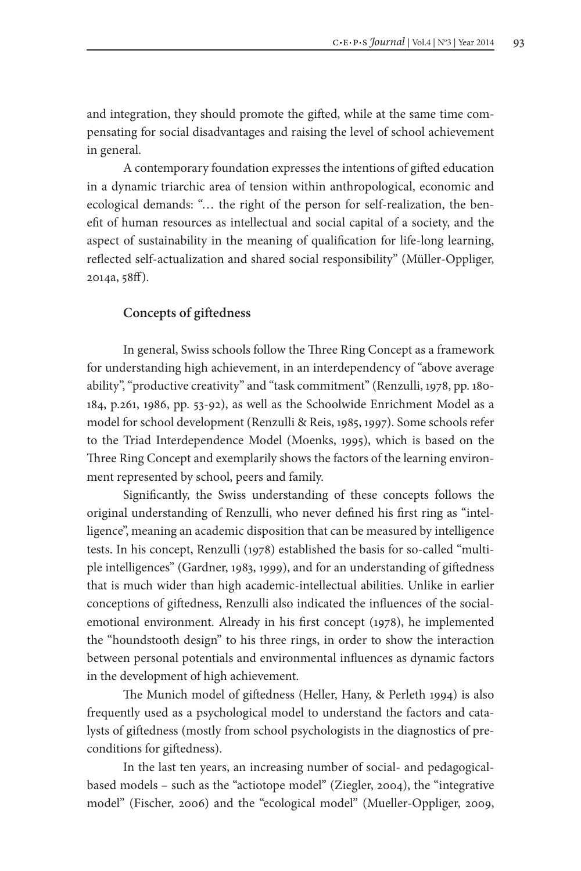and integration, they should promote the gifted, while at the same time compensating for social disadvantages and raising the level of school achievement in general.

A contemporary foundation expresses the intentions of gifted education in a dynamic triarchic area of tension within anthropological, economic and ecological demands: "… the right of the person for self-realization, the benefit of human resources as intellectual and social capital of a society, and the aspect of sustainability in the meaning of qualification for life-long learning, reflected self-actualization and shared social responsibility" (Müller-Oppliger, 2014a, 58ff).

### **Concepts of giftedness**

In general, Swiss schools follow the Three Ring Concept as a framework for understanding high achievement, in an interdependency of "above average ability", "productive creativity" and "task commitment" (Renzulli, 1978, pp. 180- 184, p.261, 1986, pp. 53-92), as well as the Schoolwide Enrichment Model as a model for school development (Renzulli & Reis, 1985, 1997). Some schools refer to the Triad Interdependence Model (Moenks, 1995), which is based on the Three Ring Concept and exemplarily shows the factors of the learning environment represented by school, peers and family.

Significantly, the Swiss understanding of these concepts follows the original understanding of Renzulli, who never defined his first ring as "intelligence", meaning an academic disposition that can be measured by intelligence tests. In his concept, Renzulli (1978) established the basis for so-called "multiple intelligences" (Gardner, 1983, 1999), and for an understanding of giftedness that is much wider than high academic-intellectual abilities. Unlike in earlier conceptions of giftedness, Renzulli also indicated the influences of the socialemotional environment. Already in his first concept (1978), he implemented the "houndstooth design" to his three rings, in order to show the interaction between personal potentials and environmental influences as dynamic factors in the development of high achievement.

The Munich model of giftedness (Heller, Hany, & Perleth 1994) is also frequently used as a psychological model to understand the factors and catalysts of giftedness (mostly from school psychologists in the diagnostics of preconditions for giftedness).

In the last ten years, an increasing number of social- and pedagogicalbased models – such as the "actiotope model" (Ziegler, 2004), the "integrative model" (Fischer, 2006) and the "ecological model" (Mueller-Oppliger, 2009,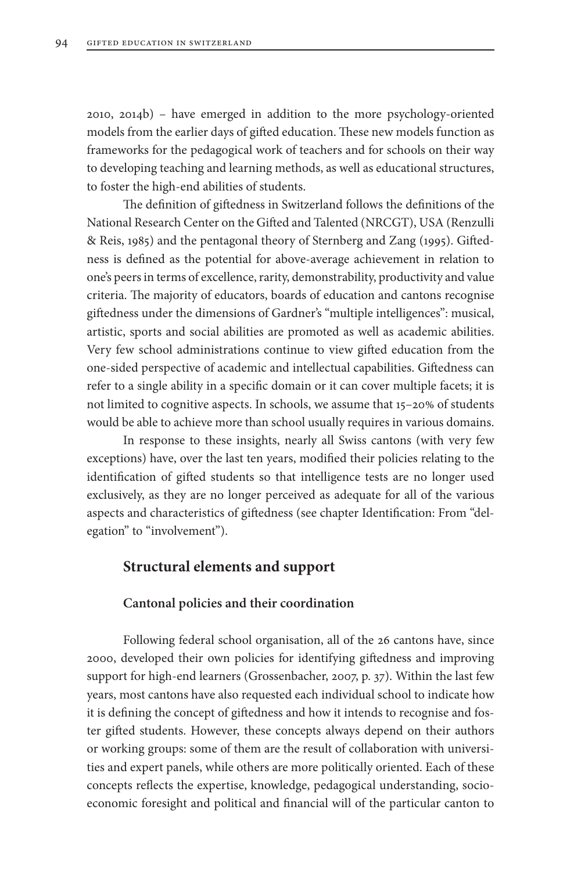2010, 2014b) – have emerged in addition to the more psychology-oriented models from the earlier days of gifted education. These new models function as frameworks for the pedagogical work of teachers and for schools on their way to developing teaching and learning methods, as well as educational structures, to foster the high-end abilities of students.

The definition of giftedness in Switzerland follows the definitions of the National Research Center on the Gifted and Talented (NRCGT), USA (Renzulli & Reis, 1985) and the pentagonal theory of Sternberg and Zang (1995). Giftedness is defined as the potential for above-average achievement in relation to one's peers in terms of excellence, rarity, demonstrability, productivity and value criteria. The majority of educators, boards of education and cantons recognise giftedness under the dimensions of Gardner's "multiple intelligences": musical, artistic, sports and social abilities are promoted as well as academic abilities. Very few school administrations continue to view gifted education from the one-sided perspective of academic and intellectual capabilities. Giftedness can refer to a single ability in a specific domain or it can cover multiple facets; it is not limited to cognitive aspects. In schools, we assume that 15–20% of students would be able to achieve more than school usually requires in various domains.

In response to these insights, nearly all Swiss cantons (with very few exceptions) have, over the last ten years, modified their policies relating to the identification of gifted students so that intelligence tests are no longer used exclusively, as they are no longer perceived as adequate for all of the various aspects and characteristics of giftedness (see chapter Identification: From "delegation" to "involvement").

### **Structural elements and support**

#### **Cantonal policies and their coordination**

Following federal school organisation, all of the 26 cantons have, since 2000, developed their own policies for identifying giftedness and improving support for high-end learners (Grossenbacher, 2007, p. 37). Within the last few years, most cantons have also requested each individual school to indicate how it is defining the concept of giftedness and how it intends to recognise and foster gifted students. However, these concepts always depend on their authors or working groups: some of them are the result of collaboration with universities and expert panels, while others are more politically oriented. Each of these concepts reflects the expertise, knowledge, pedagogical understanding, socioeconomic foresight and political and financial will of the particular canton to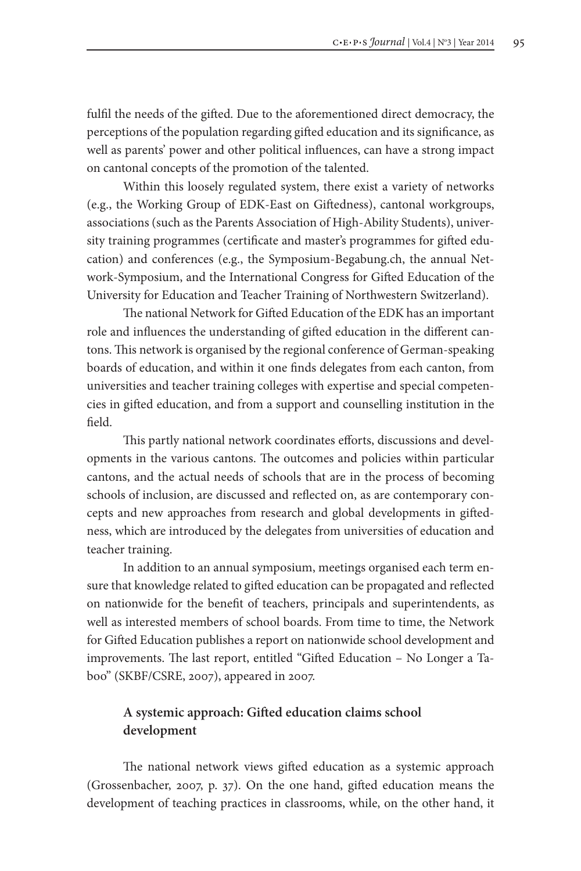fulfil the needs of the gifted. Due to the aforementioned direct democracy, the perceptions of the population regarding gifted education and its significance, as well as parents' power and other political influences, can have a strong impact on cantonal concepts of the promotion of the talented.

Within this loosely regulated system, there exist a variety of networks (e.g., the Working Group of EDK-East on Giftedness), cantonal workgroups, associations (such as the Parents Association of High-Ability Students), university training programmes (certificate and master's programmes for gifted education) and conferences (e.g., the Symposium-Begabung.ch, the annual Network-Symposium, and the International Congress for Gifted Education of the University for Education and Teacher Training of Northwestern Switzerland).

The national Network for Gifted Education of the EDK has an important role and influences the understanding of gifted education in the different cantons. This network is organised by the regional conference of German-speaking boards of education, and within it one finds delegates from each canton, from universities and teacher training colleges with expertise and special competencies in gifted education, and from a support and counselling institution in the field.

This partly national network coordinates efforts, discussions and developments in the various cantons. The outcomes and policies within particular cantons, and the actual needs of schools that are in the process of becoming schools of inclusion, are discussed and reflected on, as are contemporary concepts and new approaches from research and global developments in giftedness, which are introduced by the delegates from universities of education and teacher training.

In addition to an annual symposium, meetings organised each term ensure that knowledge related to gifted education can be propagated and reflected on nationwide for the benefit of teachers, principals and superintendents, as well as interested members of school boards. From time to time, the Network for Gifted Education publishes a report on nationwide school development and improvements. The last report, entitled "Gifted Education – No Longer a Taboo" (SKBF/CSRE, 2007), appeared in 2007.

# **A systemic approach: Gifted education claims school development**

The national network views gifted education as a systemic approach (Grossenbacher, 2007, p. 37). On the one hand, gifted education means the development of teaching practices in classrooms, while, on the other hand, it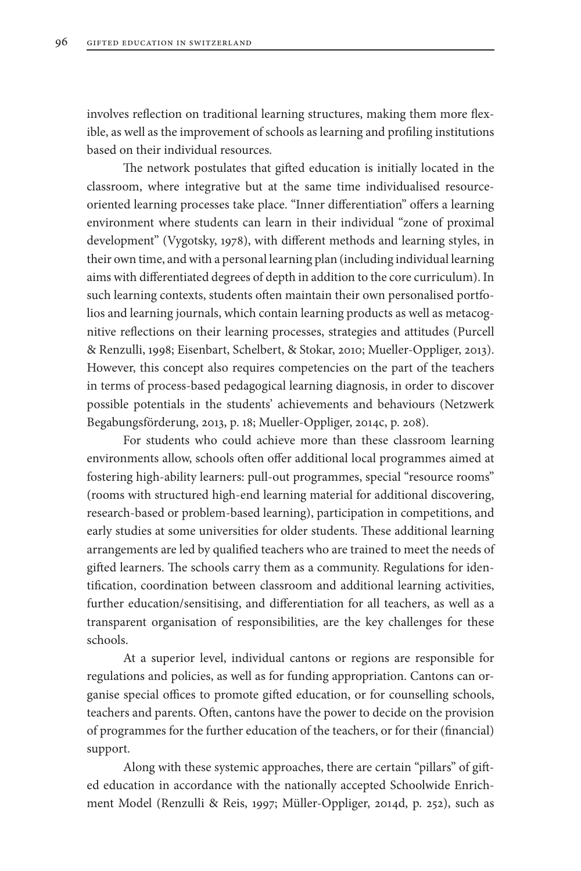involves reflection on traditional learning structures, making them more flexible, as well as the improvement of schools as learning and profiling institutions based on their individual resources.

The network postulates that gifted education is initially located in the classroom, where integrative but at the same time individualised resourceoriented learning processes take place. "Inner differentiation" offers a learning environment where students can learn in their individual "zone of proximal development" (Vygotsky, 1978), with different methods and learning styles, in their own time, and with a personal learning plan (including individual learning aims with differentiated degrees of depth in addition to the core curriculum). In such learning contexts, students often maintain their own personalised portfolios and learning journals, which contain learning products as well as metacognitive reflections on their learning processes, strategies and attitudes (Purcell & Renzulli, 1998; Eisenbart, Schelbert, & Stokar, 2010; Mueller-Oppliger, 2013). However, this concept also requires competencies on the part of the teachers in terms of process-based pedagogical learning diagnosis, in order to discover possible potentials in the students' achievements and behaviours (Netzwerk Begabungsförderung, 2013, p. 18; Mueller-Oppliger, 2014c, p. 208).

For students who could achieve more than these classroom learning environments allow, schools often offer additional local programmes aimed at fostering high-ability learners: pull-out programmes, special "resource rooms" (rooms with structured high-end learning material for additional discovering, research-based or problem-based learning), participation in competitions, and early studies at some universities for older students. These additional learning arrangements are led by qualified teachers who are trained to meet the needs of gifted learners. The schools carry them as a community. Regulations for identification, coordination between classroom and additional learning activities, further education/sensitising, and differentiation for all teachers, as well as a transparent organisation of responsibilities, are the key challenges for these schools.

At a superior level, individual cantons or regions are responsible for regulations and policies, as well as for funding appropriation. Cantons can organise special offices to promote gifted education, or for counselling schools, teachers and parents. Often, cantons have the power to decide on the provision of programmes for the further education of the teachers, or for their (financial) support.

Along with these systemic approaches, there are certain "pillars" of gifted education in accordance with the nationally accepted Schoolwide Enrichment Model (Renzulli & Reis, 1997; Müller-Oppliger, 2014d, p. 252), such as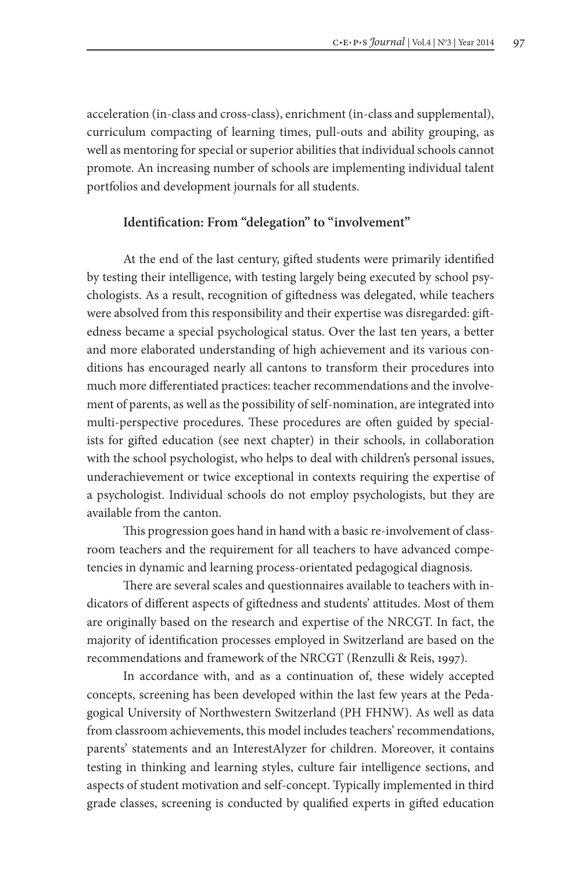acceleration (in-class and cross-class), enrichment (in-class and supplemental), curriculum compacting of learning times, pull-outs and ability grouping, as well as mentoring for special or superior abilities that individual schools cannot promote. An increasing number of schools are implementing individual talent portfolios and development journals for all students.

# **Identification: From "delegation" to "involvement"**

At the end of the last century, gifted students were primarily identified by testing their intelligence, with testing largely being executed by school psychologists. As a result, recognition of giftedness was delegated, while teachers were absolved from this responsibility and their expertise was disregarded: giftedness became a special psychological status. Over the last ten years, a better and more elaborated understanding of high achievement and its various conditions has encouraged nearly all cantons to transform their procedures into much more differentiated practices: teacher recommendations and the involvement of parents, as well as the possibility of self-nomination, are integrated into multi-perspective procedures. These procedures are often guided by specialists for gifted education (see next chapter) in their schools, in collaboration with the school psychologist, who helps to deal with children's personal issues, underachievement or twice exceptional in contexts requiring the expertise of a psychologist. Individual schools do not employ psychologists, but they are available from the canton.

This progression goes hand in hand with a basic re-involvement of classroom teachers and the requirement for all teachers to have advanced competencies in dynamic and learning process-orientated pedagogical diagnosis.

There are several scales and questionnaires available to teachers with indicators of different aspects of giftedness and students' attitudes. Most of them are originally based on the research and expertise of the NRCGT. In fact, the majority of identification processes employed in Switzerland are based on the recommendations and framework of the NRCGT (Renzulli & Reis, 1997).

In accordance with, and as a continuation of, these widely accepted concepts, screening has been developed within the last few years at the Pedagogical University of Northwestern Switzerland (PH FHNW). As well as data from classroom achievements, this model includes teachers' recommendations, parents' statements and an InterestAlyzer for children. Moreover, it contains testing in thinking and learning styles, culture fair intelligence sections, and aspects of student motivation and self-concept. Typically implemented in third grade classes, screening is conducted by qualified experts in gifted education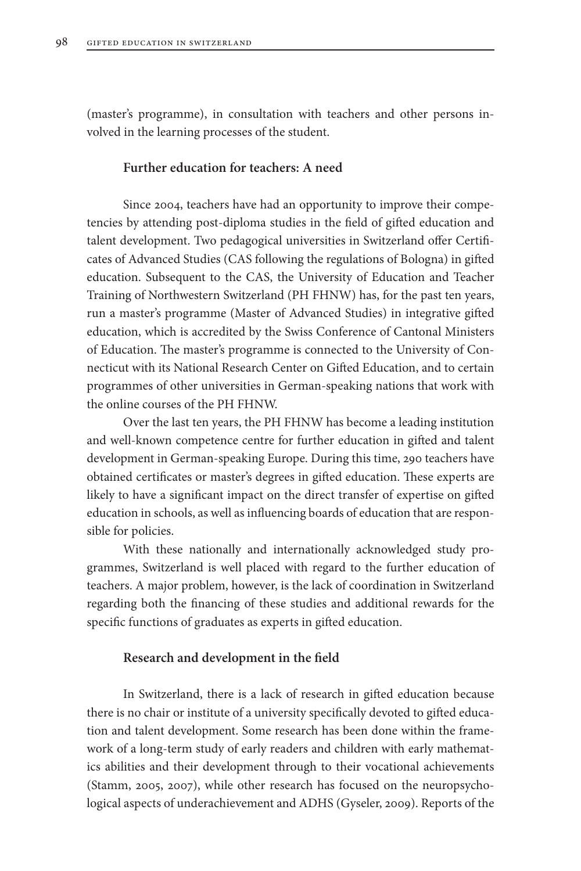(master's programme), in consultation with teachers and other persons involved in the learning processes of the student.

### **Further education for teachers: A need**

Since 2004, teachers have had an opportunity to improve their competencies by attending post-diploma studies in the field of gifted education and talent development. Two pedagogical universities in Switzerland offer Certificates of Advanced Studies (CAS following the regulations of Bologna) in gifted education. Subsequent to the CAS, the University of Education and Teacher Training of Northwestern Switzerland (PH FHNW) has, for the past ten years, run a master's programme (Master of Advanced Studies) in integrative gifted education, which is accredited by the Swiss Conference of Cantonal Ministers of Education. The master's programme is connected to the University of Connecticut with its National Research Center on Gifted Education, and to certain programmes of other universities in German-speaking nations that work with the online courses of the PH FHNW.

Over the last ten years, the PH FHNW has become a leading institution and well-known competence centre for further education in gifted and talent development in German-speaking Europe. During this time, 290 teachers have obtained certificates or master's degrees in gifted education. These experts are likely to have a significant impact on the direct transfer of expertise on gifted education in schools, as well as influencing boards of education that are responsible for policies.

With these nationally and internationally acknowledged study programmes, Switzerland is well placed with regard to the further education of teachers. A major problem, however, is the lack of coordination in Switzerland regarding both the financing of these studies and additional rewards for the specific functions of graduates as experts in gifted education.

#### **Research and development in the field**

In Switzerland, there is a lack of research in gifted education because there is no chair or institute of a university specifically devoted to gifted education and talent development. Some research has been done within the framework of a long-term study of early readers and children with early mathematics abilities and their development through to their vocational achievements (Stamm, 2005, 2007), while other research has focused on the neuropsychological aspects of underachievement and ADHS (Gyseler, 2009). Reports of the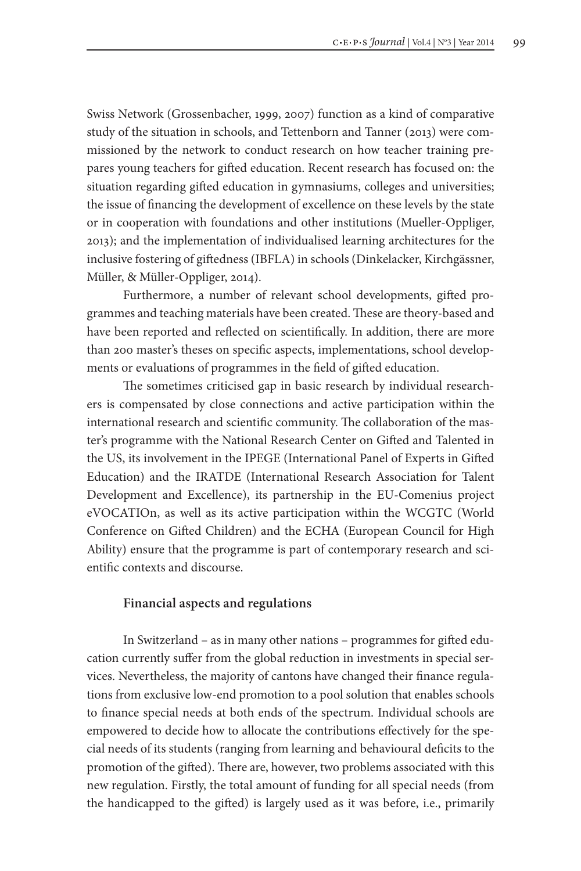Swiss Network (Grossenbacher, 1999, 2007) function as a kind of comparative study of the situation in schools, and Tettenborn and Tanner (2013) were commissioned by the network to conduct research on how teacher training prepares young teachers for gifted education. Recent research has focused on: the situation regarding gifted education in gymnasiums, colleges and universities; the issue of financing the development of excellence on these levels by the state or in cooperation with foundations and other institutions (Mueller-Oppliger, 2013); and the implementation of individualised learning architectures for the inclusive fostering of giftedness (IBFLA) in schools (Dinkelacker, Kirchgässner, Müller, & Müller-Oppliger, 2014).

Furthermore, a number of relevant school developments, gifted programmes and teaching materials have been created. These are theory-based and have been reported and reflected on scientifically. In addition, there are more than 200 master's theses on specific aspects, implementations, school developments or evaluations of programmes in the field of gifted education.

The sometimes criticised gap in basic research by individual researchers is compensated by close connections and active participation within the international research and scientific community. The collaboration of the master's programme with the National Research Center on Gifted and Talented in the US, its involvement in the IPEGE (International Panel of Experts in Gifted Education) and the IRATDE (International Research Association for Talent Development and Excellence), its partnership in the EU-Comenius project eVOCATIOn, as well as its active participation within the WCGTC (World Conference on Gifted Children) and the ECHA (European Council for High Ability) ensure that the programme is part of contemporary research and scientific contexts and discourse.

### **Financial aspects and regulations**

In Switzerland – as in many other nations – programmes for gifted education currently suffer from the global reduction in investments in special services. Nevertheless, the majority of cantons have changed their finance regulations from exclusive low-end promotion to a pool solution that enables schools to finance special needs at both ends of the spectrum. Individual schools are empowered to decide how to allocate the contributions effectively for the special needs of its students (ranging from learning and behavioural deficits to the promotion of the gifted). There are, however, two problems associated with this new regulation. Firstly, the total amount of funding for all special needs (from the handicapped to the gifted) is largely used as it was before, i.e., primarily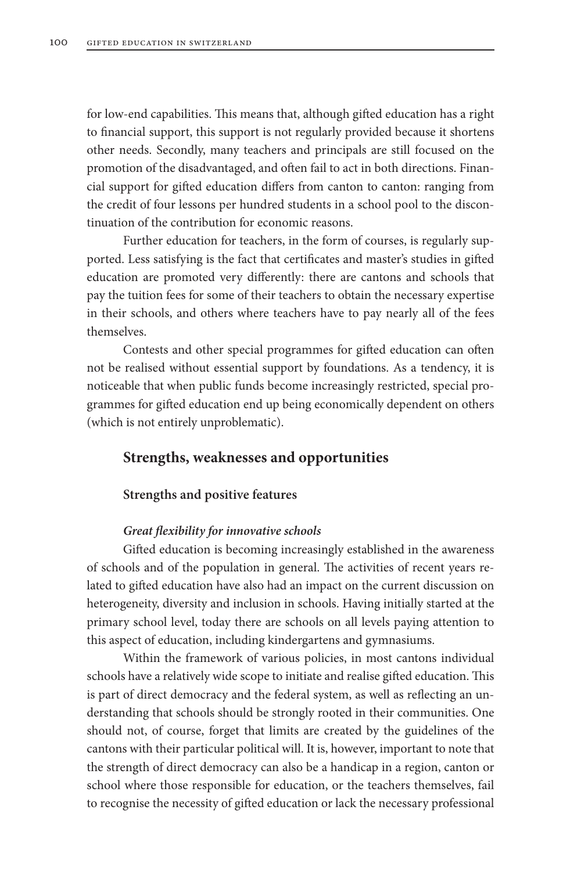for low-end capabilities. This means that, although gifted education has a right to financial support, this support is not regularly provided because it shortens other needs. Secondly, many teachers and principals are still focused on the promotion of the disadvantaged, and often fail to act in both directions. Financial support for gifted education differs from canton to canton: ranging from the credit of four lessons per hundred students in a school pool to the discontinuation of the contribution for economic reasons.

Further education for teachers, in the form of courses, is regularly supported. Less satisfying is the fact that certificates and master's studies in gifted education are promoted very differently: there are cantons and schools that pay the tuition fees for some of their teachers to obtain the necessary expertise in their schools, and others where teachers have to pay nearly all of the fees themselves.

Contests and other special programmes for gifted education can often not be realised without essential support by foundations. As a tendency, it is noticeable that when public funds become increasingly restricted, special programmes for gifted education end up being economically dependent on others (which is not entirely unproblematic).

## **Strengths, weaknesses and opportunities**

#### **Strengths and positive features**

#### *Great flexibility for innovative schools*

Gifted education is becoming increasingly established in the awareness of schools and of the population in general. The activities of recent years related to gifted education have also had an impact on the current discussion on heterogeneity, diversity and inclusion in schools. Having initially started at the primary school level, today there are schools on all levels paying attention to this aspect of education, including kindergartens and gymnasiums.

Within the framework of various policies, in most cantons individual schools have a relatively wide scope to initiate and realise gifted education. This is part of direct democracy and the federal system, as well as reflecting an understanding that schools should be strongly rooted in their communities. One should not, of course, forget that limits are created by the guidelines of the cantons with their particular political will. It is, however, important to note that the strength of direct democracy can also be a handicap in a region, canton or school where those responsible for education, or the teachers themselves, fail to recognise the necessity of gifted education or lack the necessary professional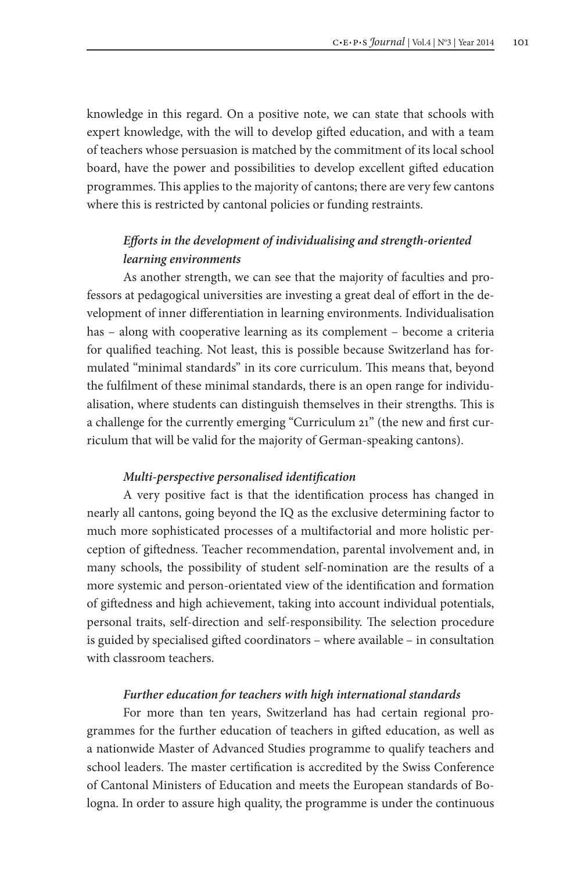knowledge in this regard. On a positive note, we can state that schools with expert knowledge, with the will to develop gifted education, and with a team of teachers whose persuasion is matched by the commitment of its local school board, have the power and possibilities to develop excellent gifted education programmes. This applies to the majority of cantons; there are very few cantons where this is restricted by cantonal policies or funding restraints.

# *Efforts in the development of individualising and strength-oriented learning environments*

As another strength, we can see that the majority of faculties and professors at pedagogical universities are investing a great deal of effort in the development of inner differentiation in learning environments. Individualisation has – along with cooperative learning as its complement – become a criteria for qualified teaching. Not least, this is possible because Switzerland has formulated "minimal standards" in its core curriculum. This means that, beyond the fulfilment of these minimal standards, there is an open range for individualisation, where students can distinguish themselves in their strengths. This is a challenge for the currently emerging "Curriculum 21" (the new and first curriculum that will be valid for the majority of German-speaking cantons).

### *Multi-perspective personalised identification*

A very positive fact is that the identification process has changed in nearly all cantons, going beyond the IQ as the exclusive determining factor to much more sophisticated processes of a multifactorial and more holistic perception of giftedness. Teacher recommendation, parental involvement and, in many schools, the possibility of student self-nomination are the results of a more systemic and person-orientated view of the identification and formation of giftedness and high achievement, taking into account individual potentials, personal traits, self-direction and self-responsibility. The selection procedure is guided by specialised gifted coordinators – where available – in consultation with classroom teachers.

### *Further education for teachers with high international standards*

For more than ten years, Switzerland has had certain regional programmes for the further education of teachers in gifted education, as well as a nationwide Master of Advanced Studies programme to qualify teachers and school leaders. The master certification is accredited by the Swiss Conference of Cantonal Ministers of Education and meets the European standards of Bologna. In order to assure high quality, the programme is under the continuous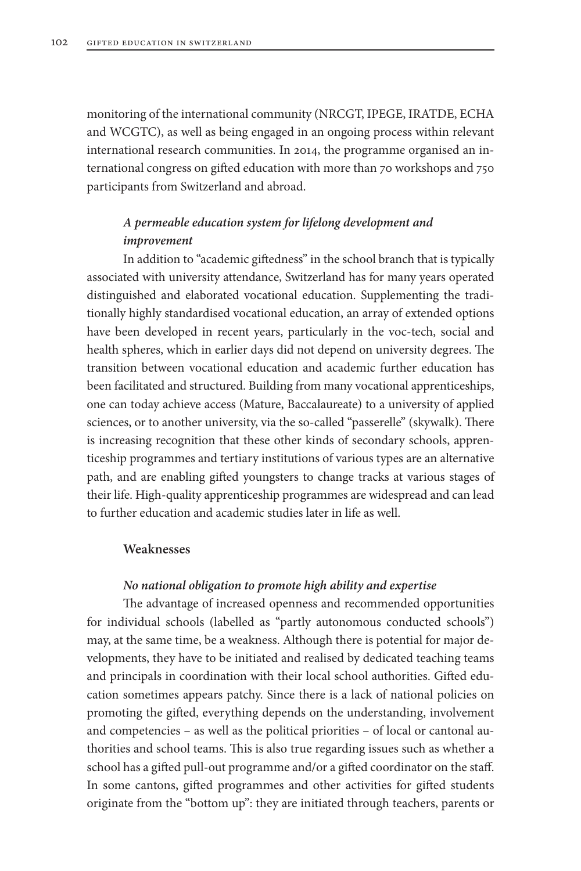monitoring of the international community (NRCGT, IPEGE, IRATDE, ECHA and WCGTC), as well as being engaged in an ongoing process within relevant international research communities. In 2014, the programme organised an international congress on gifted education with more than 70 workshops and 750 participants from Switzerland and abroad.

# *A permeable education system for lifelong development and improvement*

In addition to "academic giftedness" in the school branch that is typically associated with university attendance, Switzerland has for many years operated distinguished and elaborated vocational education. Supplementing the traditionally highly standardised vocational education, an array of extended options have been developed in recent years, particularly in the voc-tech, social and health spheres, which in earlier days did not depend on university degrees. The transition between vocational education and academic further education has been facilitated and structured. Building from many vocational apprenticeships, one can today achieve access (Mature, Baccalaureate) to a university of applied sciences, or to another university, via the so-called "passerelle" (skywalk). There is increasing recognition that these other kinds of secondary schools, apprenticeship programmes and tertiary institutions of various types are an alternative path, and are enabling gifted youngsters to change tracks at various stages of their life. High-quality apprenticeship programmes are widespread and can lead to further education and academic studies later in life as well.

### **Weaknesses**

### *No national obligation to promote high ability and expertise*

The advantage of increased openness and recommended opportunities for individual schools (labelled as "partly autonomous conducted schools") may, at the same time, be a weakness. Although there is potential for major developments, they have to be initiated and realised by dedicated teaching teams and principals in coordination with their local school authorities. Gifted education sometimes appears patchy. Since there is a lack of national policies on promoting the gifted, everything depends on the understanding, involvement and competencies – as well as the political priorities – of local or cantonal authorities and school teams. This is also true regarding issues such as whether a school has a gifted pull-out programme and/or a gifted coordinator on the staff. In some cantons, gifted programmes and other activities for gifted students originate from the "bottom up": they are initiated through teachers, parents or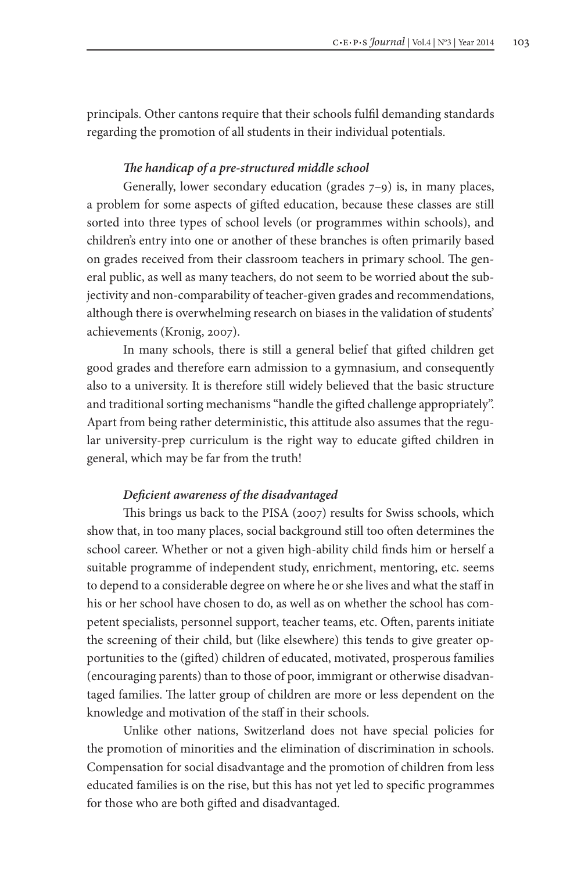principals. Other cantons require that their schools fulfil demanding standards regarding the promotion of all students in their individual potentials.

### *The handicap of a pre-structured middle school*

Generally, lower secondary education (grades 7–9) is, in many places, a problem for some aspects of gifted education, because these classes are still sorted into three types of school levels (or programmes within schools), and children's entry into one or another of these branches is often primarily based on grades received from their classroom teachers in primary school. The general public, as well as many teachers, do not seem to be worried about the subjectivity and non-comparability of teacher-given grades and recommendations, although there is overwhelming research on biases in the validation of students' achievements (Kronig, 2007).

In many schools, there is still a general belief that gifted children get good grades and therefore earn admission to a gymnasium, and consequently also to a university. It is therefore still widely believed that the basic structure and traditional sorting mechanisms "handle the gifted challenge appropriately". Apart from being rather deterministic, this attitude also assumes that the regular university-prep curriculum is the right way to educate gifted children in general, which may be far from the truth!

### *Deficient awareness of the disadvantaged*

This brings us back to the PISA (2007) results for Swiss schools, which show that, in too many places, social background still too often determines the school career. Whether or not a given high-ability child finds him or herself a suitable programme of independent study, enrichment, mentoring, etc. seems to depend to a considerable degree on where he or she lives and what the staff in his or her school have chosen to do, as well as on whether the school has competent specialists, personnel support, teacher teams, etc. Often, parents initiate the screening of their child, but (like elsewhere) this tends to give greater opportunities to the (gifted) children of educated, motivated, prosperous families (encouraging parents) than to those of poor, immigrant or otherwise disadvantaged families. The latter group of children are more or less dependent on the knowledge and motivation of the staff in their schools.

Unlike other nations, Switzerland does not have special policies for the promotion of minorities and the elimination of discrimination in schools. Compensation for social disadvantage and the promotion of children from less educated families is on the rise, but this has not yet led to specific programmes for those who are both gifted and disadvantaged.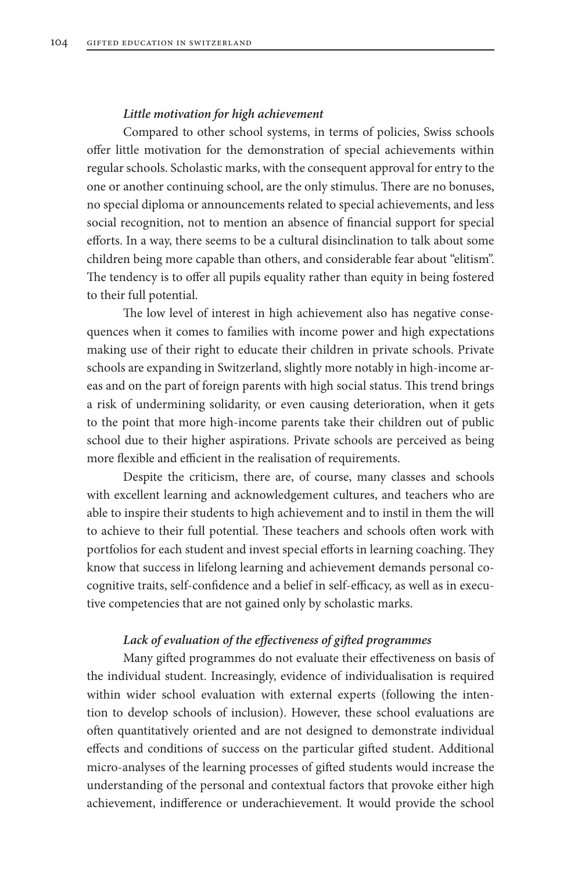### *Little motivation for high achievement*

Compared to other school systems, in terms of policies, Swiss schools offer little motivation for the demonstration of special achievements within regular schools. Scholastic marks, with the consequent approval for entry to the one or another continuing school, are the only stimulus. There are no bonuses, no special diploma or announcements related to special achievements, and less social recognition, not to mention an absence of financial support for special efforts. In a way, there seems to be a cultural disinclination to talk about some children being more capable than others, and considerable fear about "elitism". The tendency is to offer all pupils equality rather than equity in being fostered to their full potential.

The low level of interest in high achievement also has negative consequences when it comes to families with income power and high expectations making use of their right to educate their children in private schools. Private schools are expanding in Switzerland, slightly more notably in high-income areas and on the part of foreign parents with high social status. This trend brings a risk of undermining solidarity, or even causing deterioration, when it gets to the point that more high-income parents take their children out of public school due to their higher aspirations. Private schools are perceived as being more flexible and efficient in the realisation of requirements.

Despite the criticism, there are, of course, many classes and schools with excellent learning and acknowledgement cultures, and teachers who are able to inspire their students to high achievement and to instil in them the will to achieve to their full potential. These teachers and schools often work with portfolios for each student and invest special efforts in learning coaching. They know that success in lifelong learning and achievement demands personal cocognitive traits, self-confidence and a belief in self-efficacy, as well as in executive competencies that are not gained only by scholastic marks.

### *Lack of evaluation of the effectiveness of gifted programmes*

Many gifted programmes do not evaluate their effectiveness on basis of the individual student. Increasingly, evidence of individualisation is required within wider school evaluation with external experts (following the intention to develop schools of inclusion). However, these school evaluations are often quantitatively oriented and are not designed to demonstrate individual effects and conditions of success on the particular gifted student. Additional micro-analyses of the learning processes of gifted students would increase the understanding of the personal and contextual factors that provoke either high achievement, indifference or underachievement. It would provide the school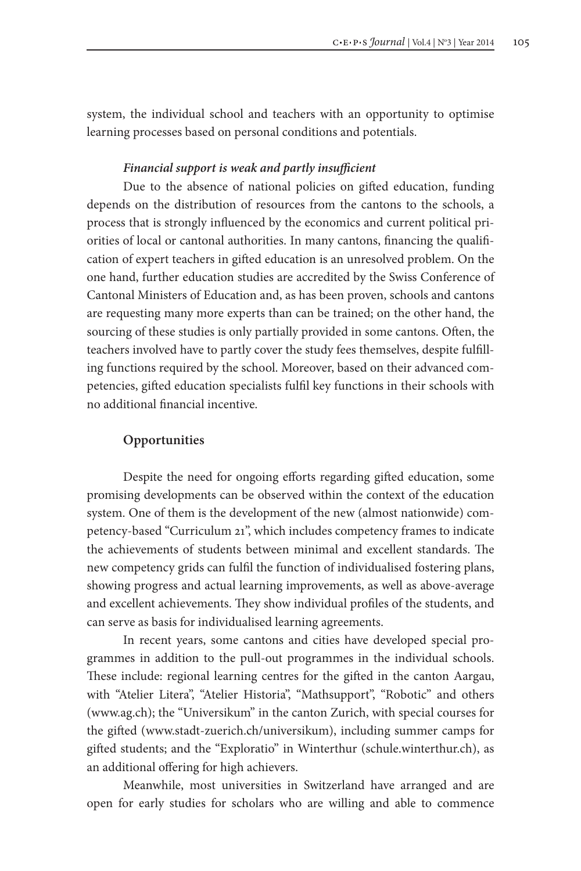system, the individual school and teachers with an opportunity to optimise learning processes based on personal conditions and potentials.

### *Financial support is weak and partly insufficient*

Due to the absence of national policies on gifted education, funding depends on the distribution of resources from the cantons to the schools, a process that is strongly influenced by the economics and current political priorities of local or cantonal authorities. In many cantons, financing the qualification of expert teachers in gifted education is an unresolved problem. On the one hand, further education studies are accredited by the Swiss Conference of Cantonal Ministers of Education and, as has been proven, schools and cantons are requesting many more experts than can be trained; on the other hand, the sourcing of these studies is only partially provided in some cantons. Often, the teachers involved have to partly cover the study fees themselves, despite fulfilling functions required by the school. Moreover, based on their advanced competencies, gifted education specialists fulfil key functions in their schools with no additional financial incentive.

### **Opportunities**

Despite the need for ongoing efforts regarding gifted education, some promising developments can be observed within the context of the education system. One of them is the development of the new (almost nationwide) competency-based "Curriculum 21", which includes competency frames to indicate the achievements of students between minimal and excellent standards. The new competency grids can fulfil the function of individualised fostering plans, showing progress and actual learning improvements, as well as above-average and excellent achievements. They show individual profiles of the students, and can serve as basis for individualised learning agreements.

In recent years, some cantons and cities have developed special programmes in addition to the pull-out programmes in the individual schools. These include: regional learning centres for the gifted in the canton Aargau, with "Atelier Litera", "Atelier Historia", "Mathsupport", "Robotic" and others (www.ag.ch); the "Universikum" in the canton Zurich, with special courses for the gifted (www.stadt-zuerich.ch/universikum), including summer camps for gifted students; and the "Exploratio" in Winterthur (schule.winterthur.ch), as an additional offering for high achievers.

Meanwhile, most universities in Switzerland have arranged and are open for early studies for scholars who are willing and able to commence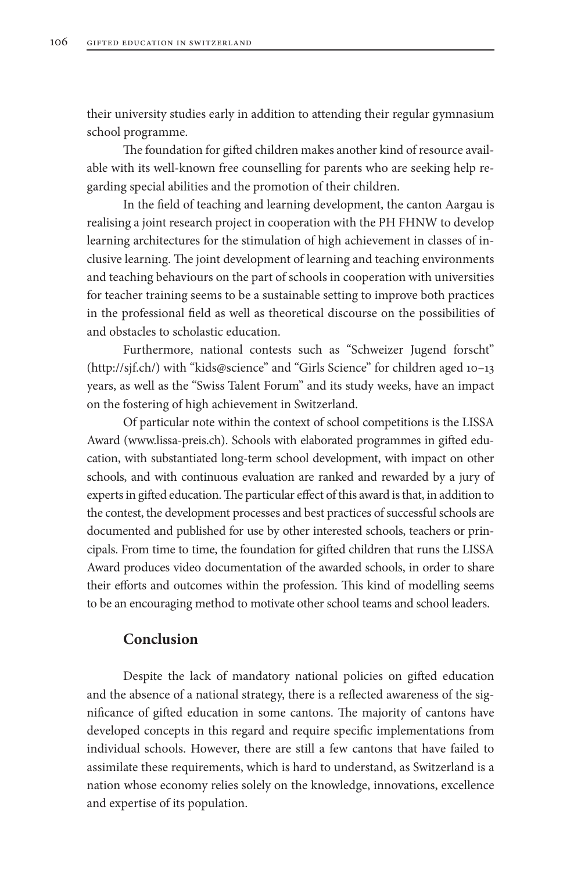their university studies early in addition to attending their regular gymnasium school programme.

The foundation for gifted children makes another kind of resource available with its well-known free counselling for parents who are seeking help regarding special abilities and the promotion of their children.

In the field of teaching and learning development, the canton Aargau is realising a joint research project in cooperation with the PH FHNW to develop learning architectures for the stimulation of high achievement in classes of inclusive learning. The joint development of learning and teaching environments and teaching behaviours on the part of schools in cooperation with universities for teacher training seems to be a sustainable setting to improve both practices in the professional field as well as theoretical discourse on the possibilities of and obstacles to scholastic education.

Furthermore, national contests such as "Schweizer Jugend forscht" (http://sjf.ch/) with "kids@science" and "Girls Science" for children aged 10–13 years, as well as the "Swiss Talent Forum" and its study weeks, have an impact on the fostering of high achievement in Switzerland.

Of particular note within the context of school competitions is the LISSA Award (www.lissa-preis.ch). Schools with elaborated programmes in gifted education, with substantiated long-term school development, with impact on other schools, and with continuous evaluation are ranked and rewarded by a jury of experts in gifted education. The particular effect of this award is that, in addition to the contest, the development processes and best practices of successful schools are documented and published for use by other interested schools, teachers or principals. From time to time, the foundation for gifted children that runs the LISSA Award produces video documentation of the awarded schools, in order to share their efforts and outcomes within the profession. This kind of modelling seems to be an encouraging method to motivate other school teams and school leaders.

### **Conclusion**

Despite the lack of mandatory national policies on gifted education and the absence of a national strategy, there is a reflected awareness of the significance of gifted education in some cantons. The majority of cantons have developed concepts in this regard and require specific implementations from individual schools. However, there are still a few cantons that have failed to assimilate these requirements, which is hard to understand, as Switzerland is a nation whose economy relies solely on the knowledge, innovations, excellence and expertise of its population.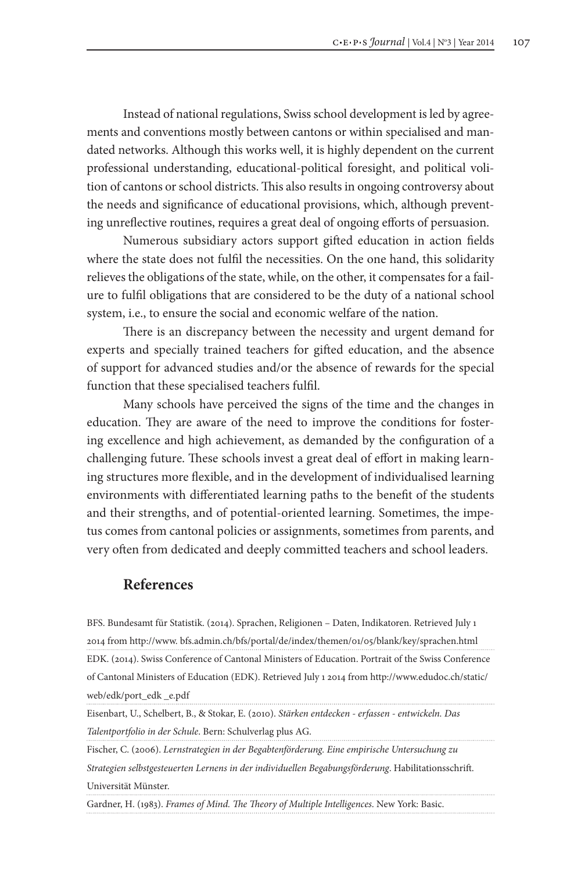Instead of national regulations, Swiss school development is led by agreements and conventions mostly between cantons or within specialised and mandated networks. Although this works well, it is highly dependent on the current professional understanding, educational-political foresight, and political volition of cantons or school districts. This also results in ongoing controversy about the needs and significance of educational provisions, which, although preventing unreflective routines, requires a great deal of ongoing efforts of persuasion.

Numerous subsidiary actors support gifted education in action fields where the state does not fulfil the necessities. On the one hand, this solidarity relieves the obligations of the state, while, on the other, it compensates for a failure to fulfil obligations that are considered to be the duty of a national school system, i.e., to ensure the social and economic welfare of the nation.

There is an discrepancy between the necessity and urgent demand for experts and specially trained teachers for gifted education, and the absence of support for advanced studies and/or the absence of rewards for the special function that these specialised teachers fulfil.

Many schools have perceived the signs of the time and the changes in education. They are aware of the need to improve the conditions for fostering excellence and high achievement, as demanded by the configuration of a challenging future. These schools invest a great deal of effort in making learning structures more flexible, and in the development of individualised learning environments with differentiated learning paths to the benefit of the students and their strengths, and of potential-oriented learning. Sometimes, the impetus comes from cantonal policies or assignments, sometimes from parents, and very often from dedicated and deeply committed teachers and school leaders.

### **References**

BFS. Bundesamt für Statistik. (2014). Sprachen, Religionen – Daten, Indikatoren. Retrieved July 1 2014 from http://www. bfs.admin.ch/bfs/portal/de/index/themen/01/05/blank/key/sprachen.html EDK. (2014). Swiss Conference of Cantonal Ministers of Education. Portrait of the Swiss Conference of Cantonal Ministers of Education (EDK). Retrieved July 1 2014 from http://www.edudoc.ch/static/ web/edk/port\_edk \_e.pdf

Eisenbart, U., Schelbert, B., & Stokar, E. (2010). *Stärken entdecken - erfassen - entwickeln. Das Talentportfolio in der Schule*. Bern: Schulverlag plus AG.

Fischer, C. (2006). *Lernstrategien in der Begabtenförderung. Eine empirische Untersuchung zu Strategien selbstgesteuerten Lernens in der individuellen Begabungsförderung*. Habilitationsschrift. Universität Münster.

Gardner, H. (1983). *Frames of Mind. The Theory of Multiple Intelligences*. New York: Basic.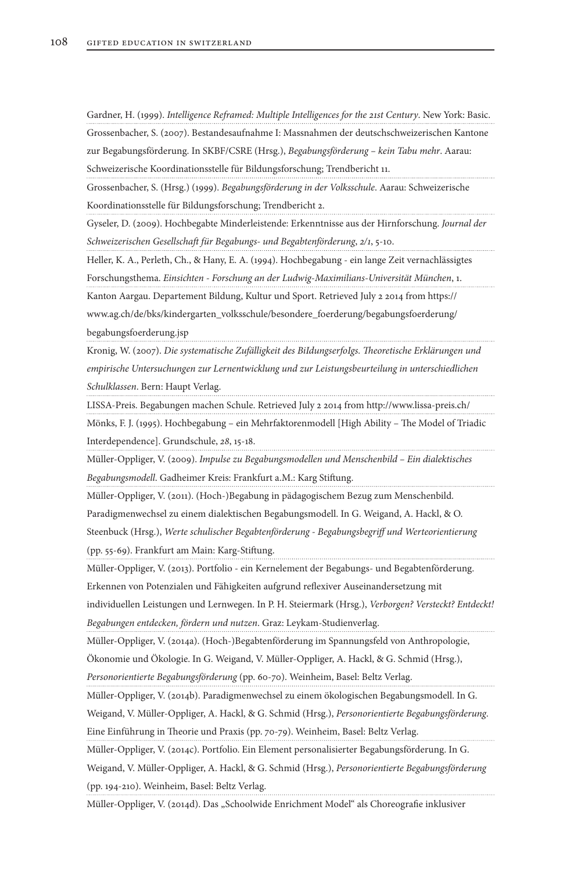Gardner, H. (1999). *Intelligence Reframed: Multiple Intelligences for the 21st Century*. New York: Basic. Grossenbacher, S. (2007). Bestandesaufnahme I: Massnahmen der deutschschweizerischen Kantone zur Begabungsförderung. In SKBF/CSRE (Hrsg.), *Begabungsförderung – kein Tabu mehr*. Aarau: Schweizerische Koordinationsstelle für Bildungsforschung; Trendbericht 11.

Grossenbacher, S. (Hrsg.) (1999). *Begabungsförderung in der Volksschule*. Aarau: Schweizerische Koordinationsstelle für Bildungsforschung; Trendbericht 2.

Gyseler, D. (2009). Hochbegabte Minderleistende: Erkenntnisse aus der Hirnforschung. *Journal der Schweizerischen Gesellschaft für Begabungs- und Begabtenförderung*, *2/1*, 5-10.

Heller, K. A., Perleth, Ch., & Hany, E. A. (1994). Hochbegabung - ein lange Zeit vernachlässigtes Forschungsthema. *Einsichten - Forschung an der Ludwig-Maximilians-Universität München*, 1. Kanton Aargau. Departement Bildung, Kultur und Sport. Retrieved July 2 2014 from https://

www.ag.ch/de/bks/kindergarten\_volksschule/besondere\_foerderung/begabungsfoerderung/

begabungsfoerderung.jsp

Kronig, W. (2007). *Die systematische Zufälligkeit des BiIdungserfoIgs. Theoretische Erklärungen und empirische Untersuchungen zur Lernentwicklung und zur Leistungsbeurteilung in unterschiedlichen Schulklassen*. Bern: Haupt Verlag.

LISSA-Preis. Begabungen machen Schule. Retrieved July 2 2014 from http://www.lissa-preis.ch/

Mönks, F. J. (1995). Hochbegabung – ein Mehrfaktorenmodell [High Ability – The Model of Triadic Interdependence]. Grundschule, *28*, 15-18.

Müller-Oppliger, V. (2009). *Impulse zu Begabungsmodellen und Menschenbild – Ein dialektisches Begabungsmodell*. Gadheimer Kreis: Frankfurt a.M.: Karg Stiftung.

Müller-Oppliger, V. (2011). (Hoch-)Begabung in pädagogischem Bezug zum Menschenbild.

Paradigmenwechsel zu einem dialektischen Begabungsmodell. In G. Weigand, A. Hackl, & O.

Steenbuck (Hrsg.), *Werte schulischer Begabtenförderung - Begabungsbegriff und Werteorientierung* (pp. 55-69). Frankfurt am Main: Karg-Stiftung.

Müller-Oppliger, V. (2013). Portfolio - ein Kernelement der Begabungs- und Begabtenförderung.

Erkennen von Potenzialen und Fähigkeiten aufgrund reflexiver Auseinandersetzung mit

individuellen Leistungen und Lernwegen. In P. H. Steiermark (Hrsg.), *Verborgen? Versteckt? Entdeckt! Begabungen entdecken, fördern und nutzen*. Graz: Leykam-Studienverlag.

Müller-Oppliger, V. (2014a). (Hoch-)Begabtenförderung im Spannungsfeld von Anthropologie,

Ökonomie und Ökologie. In G. Weigand, V. Müller-Oppliger, A. Hackl, & G. Schmid (Hrsg.),

*Personorientierte Begabungsförderung* (pp. 60-70). Weinheim, Basel: Beltz Verlag.

Müller-Oppliger, V. (2014b). Paradigmenwechsel zu einem ökologischen Begabungsmodell. In G.

Weigand, V. Müller-Oppliger, A. Hackl, & G. Schmid (Hrsg.), *Personorientierte Begabungsförderung*. Eine Einführung in Theorie und Praxis (pp. 70-79). Weinheim, Basel: Beltz Verlag.

Müller-Oppliger, V. (2014c). Portfolio. Ein Element personalisierter Begabungsförderung. In G.

Weigand, V. Müller-Oppliger, A. Hackl, & G. Schmid (Hrsg.), *Personorientierte Begabungsförderung* (pp. 194-210). Weinheim, Basel: Beltz Verlag.

Müller-Oppliger, V. (2014d). Das "Schoolwide Enrichment Model" als Choreografie inklusiver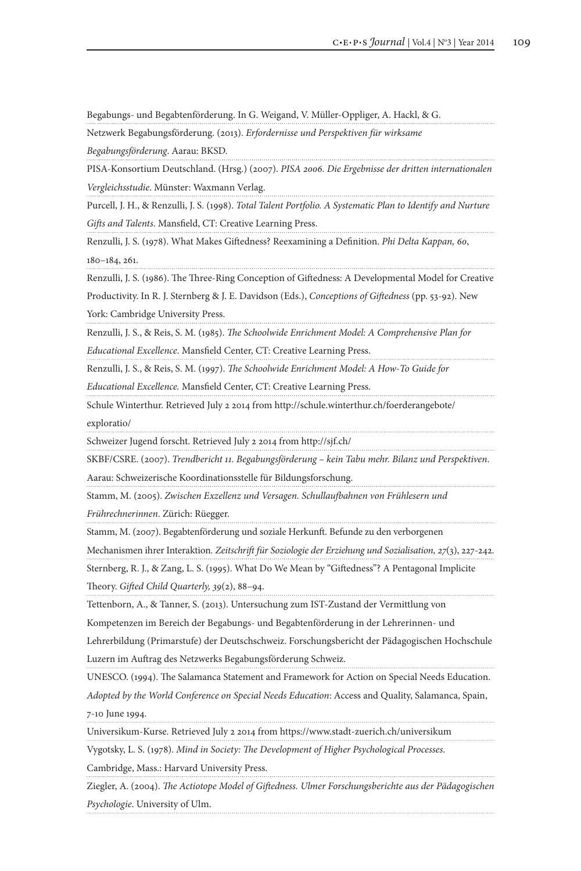Begabungs- und Begabtenförderung. In G. Weigand, V. Müller-Oppliger, A. Hackl, & G.

Netzwerk Begabungsförderung. (2013). *Erfordernisse und Perspektiven für wirksame* 

*Begabungsförderung*. Aarau: BKSD.

PISA-Konsortium Deutschland. (Hrsg.) (2007). *PISA 2006. Die Ergebnisse der dritten internationalen Vergleichsstudie*. Münster: Waxmann Verlag.

Purcell, J. H., & Renzulli, J. S. (1998). *Total Talent Portfolio. A Systematic Plan to Identify and Nurture Gifts and Talents*. Mansfield, CT: Creative Learning Press.

Renzulli, J. S. (1978). What Makes Giftedness? Reexamining a Definition. *Phi Delta Kappan, 60*, 180–184, 261.

Renzulli, J. S. (1986). The Three-Ring Conception of Giftedness: A Developmental Model for Creative

Productivity. In R. J. Sternberg & J. E. Davidson (Eds.), *Conceptions of Giftedness* (pp. 53-92). New

York: Cambridge University Press.

Renzulli, J. S., & Reis, S. M. (1985). *The Schoolwide Enrichment Model: A Comprehensive Plan for* 

*Educational Excellence*. Mansfield Center, CT: Creative Learning Press.

Renzulli, J. S., & Reis, S. M. (1997). *The Schoolwide Enrichment Model: A How-To Guide for* 

*Educational Excellence.* Mansfield Center, CT: Creative Learning Press.

Schule Winterthur. Retrieved July 2 2014 from http://schule.winterthur.ch/foerderangebote/

exploratio/

Schweizer Jugend forscht. Retrieved July 2 2014 from http://sjf.ch/

SKBF/CSRE. (2007). *Trendbericht 11. Begabungsförderung – kein Tabu mehr. Bilanz und Perspektiven*.

Aarau: Schweizerische Koordinationsstelle für Bildungsforschung.

Stamm, M. (2005). *Zwischen Exzellenz und Versagen. Schullaufbahnen von Frühlesern und Frührechnerinnen*. Zürich: Rüegger.

Stamm, M. (2007). Begabtenförderung und soziale Herkunft. Befunde zu den verborgenen

Mechanismen ihrer Interaktion*. Zeitschrift für Soziologie der Erziehung und Sozialisation, 27*(3), 227-242.

Sternberg, R. J., & Zang, L. S. (1995). What Do We Mean by "Giftedness"? A Pentagonal Implicite Theory. *Gifted Child Quarterly, 39*(2), 88–94.

Tettenborn, A., & Tanner, S. (2013). Untersuchung zum IST-Zustand der Vermittlung von

Kompetenzen im Bereich der Begabungs- und Begabtenförderung in der Lehrerinnen- und

Lehrerbildung (Primarstufe) der Deutschschweiz. Forschungsbericht der Pädagogischen Hochschule Luzern im Auftrag des Netzwerks Begabungsförderung Schweiz.

UNESCO. (1994). The Salamanca Statement and Framework for Action on Special Needs Education.

*Adopted by the World Conference on Special Needs Education*: Access and Quality, Salamanca, Spain, 7-10 June 1994.

Universikum-Kurse. Retrieved July 2 2014 from https://www.stadt-zuerich.ch/universikum

Vygotsky, L. S. (1978). *Mind in Society: The Development of Higher Psychological Processes*.

Cambridge, Mass.: Harvard University Press.

Ziegler, A. (2004). *The Actiotope Model of Giftedness. Ulmer Forschungsberichte aus der Pädagogischen Psychologie*. University of Ulm.